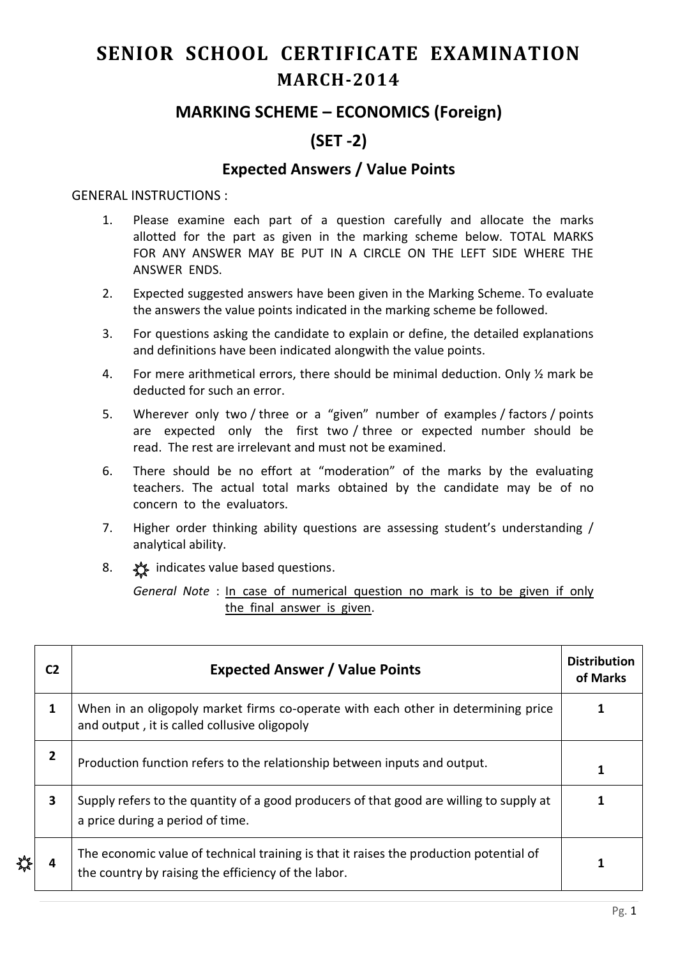# **SENIOR SCHOOL CERTIFICATE EXAMINATION MARCH-2014**

## **MARKING SCHEME – ECONOMICS (Foreign)**

# **(SET -2)**

### **Expected Answers / Value Points**

#### GENERAL INSTRUCTIONS :

- 1. Please examine each part of a question carefully and allocate the marks allotted for the part as given in the marking scheme below. TOTAL MARKS FOR ANY ANSWER MAY BE PUT IN A CIRCLE ON THE LEFT SIDE WHERE THE ANSWER ENDS.
- 2. Expected suggested answers have been given in the Marking Scheme. To evaluate the answers the value points indicated in the marking scheme be followed.
- 3. For questions asking the candidate to explain or define, the detailed explanations and definitions have been indicated alongwith the value points.
- 4. For mere arithmetical errors, there should be minimal deduction. Only ½ mark be deducted for such an error.
- 5. Wherever only two / three or a "given" number of examples / factors / points are expected only the first two / three or expected number should be read. The rest are irrelevant and must not be examined.
- 6. There should be no effort at "moderation" of the marks by the evaluating teachers. The actual total marks obtained by the candidate may be of no concern to the evaluators.
- 7. Higher order thinking ability questions are assessing student's understanding / analytical ability.
- 8.  $\frac{1}{2}$  indicates value based questions.

*General Note* : In case of numerical question no mark is to be given if only the final answer is given.

| C <sub>2</sub> | <b>Expected Answer / Value Points</b>                                                                                                         | <b>Distribution</b><br>of Marks |
|----------------|-----------------------------------------------------------------------------------------------------------------------------------------------|---------------------------------|
| 1              | When in an oligopoly market firms co-operate with each other in determining price<br>and output, it is called collusive oligopoly             |                                 |
| 2              | Production function refers to the relationship between inputs and output.                                                                     |                                 |
| 3              | Supply refers to the quantity of a good producers of that good are willing to supply at<br>a price during a period of time.                   |                                 |
|                | The economic value of technical training is that it raises the production potential of<br>the country by raising the efficiency of the labor. |                                 |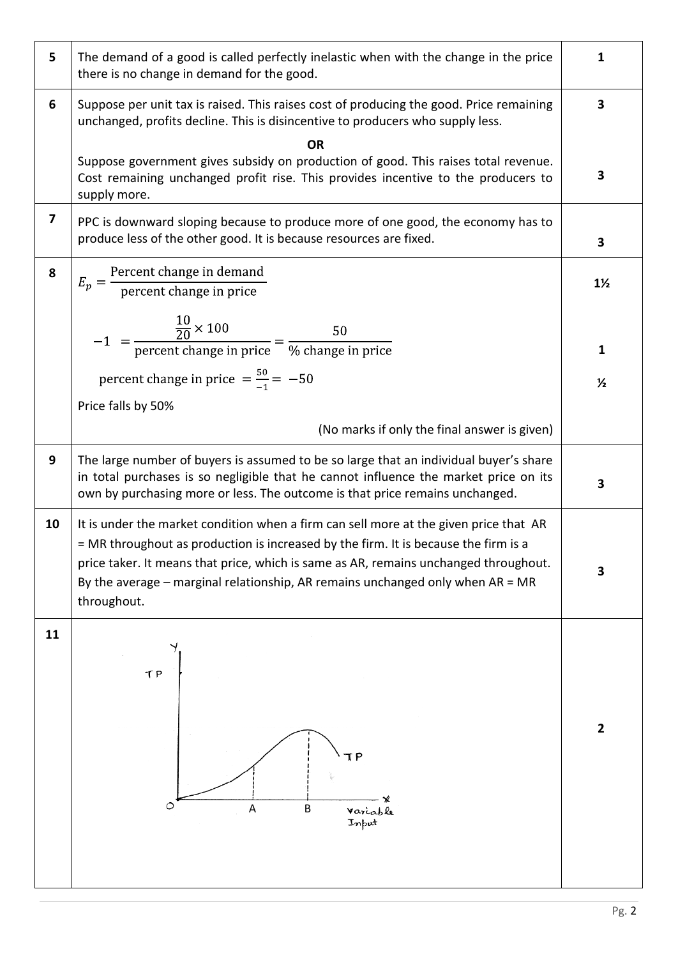| 5                       | The demand of a good is called perfectly inelastic when with the change in the price<br>there is no change in demand for the good.                                                                                                                                                                                                                                      |                |  |  |  |  |
|-------------------------|-------------------------------------------------------------------------------------------------------------------------------------------------------------------------------------------------------------------------------------------------------------------------------------------------------------------------------------------------------------------------|----------------|--|--|--|--|
| 6                       | Suppose per unit tax is raised. This raises cost of producing the good. Price remaining<br>unchanged, profits decline. This is disincentive to producers who supply less.                                                                                                                                                                                               |                |  |  |  |  |
|                         | <b>OR</b><br>Suppose government gives subsidy on production of good. This raises total revenue.<br>Cost remaining unchanged profit rise. This provides incentive to the producers to<br>supply more.                                                                                                                                                                    |                |  |  |  |  |
| $\overline{\mathbf{z}}$ | PPC is downward sloping because to produce more of one good, the economy has to<br>produce less of the other good. It is because resources are fixed.                                                                                                                                                                                                                   |                |  |  |  |  |
| 8                       | $E_p = \frac{\text{Percent change in demand}}{\text{percent change in price}}$                                                                                                                                                                                                                                                                                          | $1\frac{1}{2}$ |  |  |  |  |
|                         | $-1$ = $\frac{10}{20} \times 100$ 50<br>-1 = percent change in price = $\frac{50}{\%}$ change in price                                                                                                                                                                                                                                                                  | $\mathbf{1}$   |  |  |  |  |
|                         | percent change in price $=\frac{50}{-1}$ = -50                                                                                                                                                                                                                                                                                                                          | $\frac{1}{2}$  |  |  |  |  |
|                         | Price falls by 50%<br>(No marks if only the final answer is given)                                                                                                                                                                                                                                                                                                      |                |  |  |  |  |
| 9                       | The large number of buyers is assumed to be so large that an individual buyer's share<br>in total purchases is so negligible that he cannot influence the market price on its<br>own by purchasing more or less. The outcome is that price remains unchanged.                                                                                                           |                |  |  |  |  |
| 10                      | It is under the market condition when a firm can sell more at the given price that AR<br>= MR throughout as production is increased by the firm. It is because the firm is a<br>price taker. It means that price, which is same as AR, remains unchanged throughout.<br>By the average – marginal relationship, AR remains unchanged only when $AR = MR$<br>throughout. | 3              |  |  |  |  |
| 11                      | ΤP<br>ΤP<br>Ο<br>B<br>A<br>Variable<br>Input                                                                                                                                                                                                                                                                                                                            | $\overline{2}$ |  |  |  |  |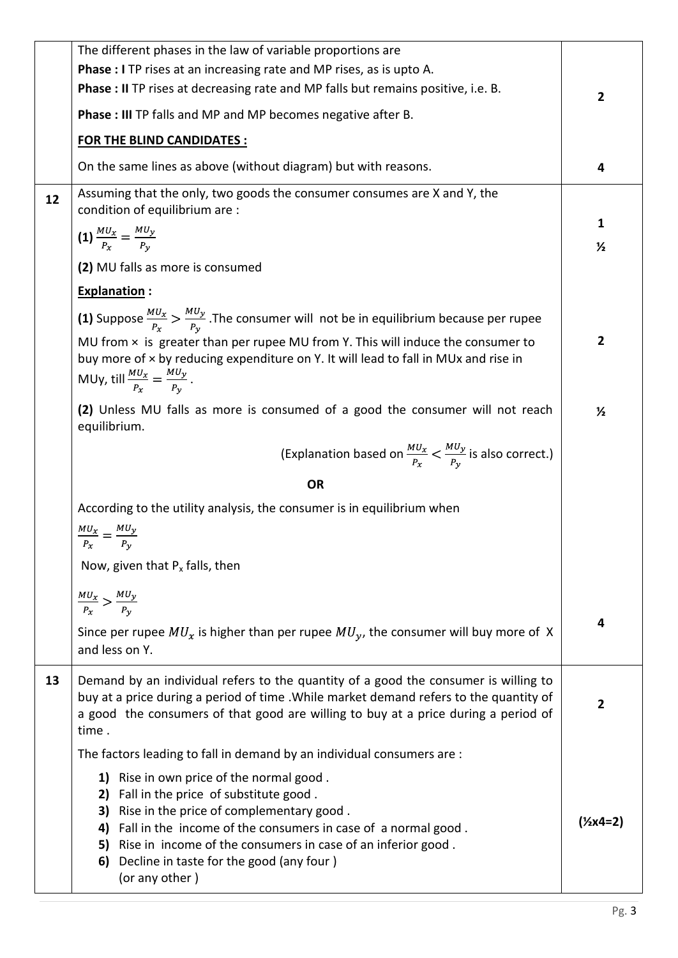|    | The different phases in the law of variable proportions are<br>Phase : I TP rises at an increasing rate and MP rises, as is upto A.<br><b>Phase : II</b> TP rises at decreasing rate and MP falls but remains positive, i.e. B.<br>Phase : III TP falls and MP and MP becomes negative after B. | $\overline{2}$ |  |  |  |  |  |
|----|-------------------------------------------------------------------------------------------------------------------------------------------------------------------------------------------------------------------------------------------------------------------------------------------------|----------------|--|--|--|--|--|
|    | <b>FOR THE BLIND CANDIDATES:</b>                                                                                                                                                                                                                                                                |                |  |  |  |  |  |
|    | On the same lines as above (without diagram) but with reasons.                                                                                                                                                                                                                                  |                |  |  |  |  |  |
| 12 | Assuming that the only, two goods the consumer consumes are X and Y, the<br>condition of equilibrium are :                                                                                                                                                                                      |                |  |  |  |  |  |
|    | (1) $\frac{MU_x}{P_x} = \frac{MU_y}{P_y}$                                                                                                                                                                                                                                                       |                |  |  |  |  |  |
|    | (2) MU falls as more is consumed                                                                                                                                                                                                                                                                |                |  |  |  |  |  |
|    | <b>Explanation:</b>                                                                                                                                                                                                                                                                             |                |  |  |  |  |  |
|    | (1) Suppose $\frac{MU_x}{P_x} > \frac{MU_y}{P_y}$ . The consumer will not be in equilibrium because per rupee                                                                                                                                                                                   |                |  |  |  |  |  |
|    | MU from $\times$ is greater than per rupee MU from Y. This will induce the consumer to<br>buy more of x by reducing expenditure on Y. It will lead to fall in MUx and rise in<br>MUy, till $\frac{MU_x}{P_x} = \frac{MU_y}{P_y}$ .                                                              |                |  |  |  |  |  |
|    | (2) Unless MU falls as more is consumed of a good the consumer will not reach<br>equilibrium.                                                                                                                                                                                                   | $\frac{1}{2}$  |  |  |  |  |  |
|    | (Explanation based on $\frac{M U_x}{P_x} < \frac{M U_y}{P_y}$ is also correct.)                                                                                                                                                                                                                 |                |  |  |  |  |  |
|    | <b>OR</b>                                                                                                                                                                                                                                                                                       |                |  |  |  |  |  |
|    |                                                                                                                                                                                                                                                                                                 |                |  |  |  |  |  |
|    | According to the utility analysis, the consumer is in equilibrium when                                                                                                                                                                                                                          |                |  |  |  |  |  |
|    | $\frac{MU_x}{P_x} = \frac{MU_y}{P_y}$                                                                                                                                                                                                                                                           |                |  |  |  |  |  |
|    | Now, given that $P_x$ falls, then                                                                                                                                                                                                                                                               |                |  |  |  |  |  |
|    |                                                                                                                                                                                                                                                                                                 |                |  |  |  |  |  |
|    | $\frac{MU_x}{P_x} > \frac{MU_y}{P_y}$<br>Since per rupee $MU_x$ is higher than per rupee $MU_y$ , the consumer will buy more of X<br>and less on Y.                                                                                                                                             | 4              |  |  |  |  |  |
| 13 | Demand by an individual refers to the quantity of a good the consumer is willing to<br>buy at a price during a period of time . While market demand refers to the quantity of<br>a good the consumers of that good are willing to buy at a price during a period of<br>time.                    | $\overline{2}$ |  |  |  |  |  |
|    | The factors leading to fall in demand by an individual consumers are :<br>1) Rise in own price of the normal good.                                                                                                                                                                              |                |  |  |  |  |  |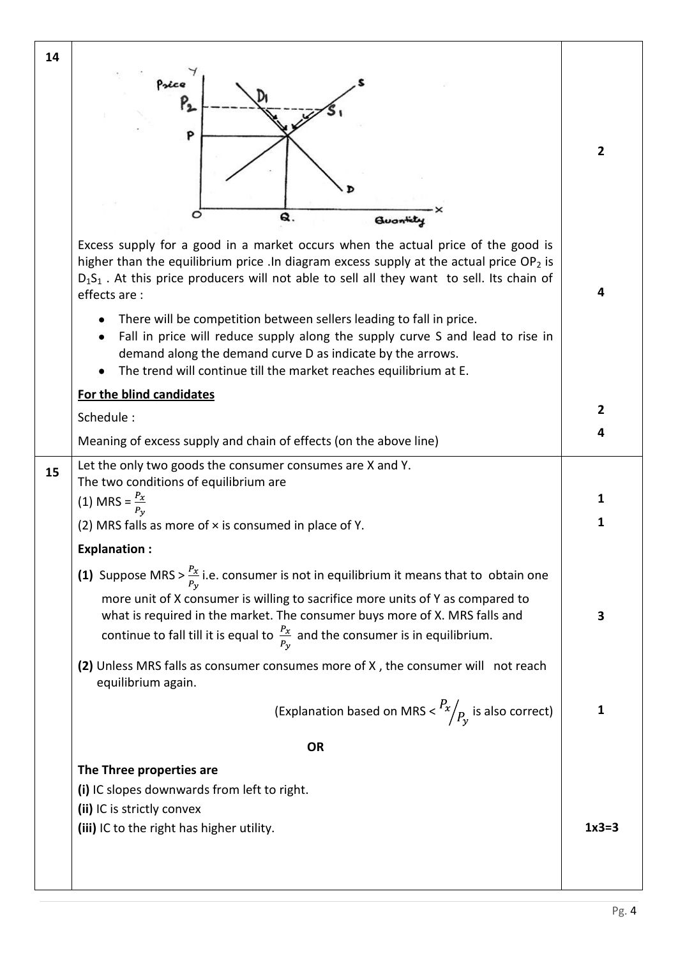| 14 |                                                                                                                                                                                                                                                                                            |         |  |  |  |
|----|--------------------------------------------------------------------------------------------------------------------------------------------------------------------------------------------------------------------------------------------------------------------------------------------|---------|--|--|--|
|    | P                                                                                                                                                                                                                                                                                          | 2       |  |  |  |
|    | o<br>Q.<br>Quantity                                                                                                                                                                                                                                                                        |         |  |  |  |
|    | Excess supply for a good in a market occurs when the actual price of the good is<br>higher than the equilibrium price .In diagram excess supply at the actual price OP2 is<br>$D_1S_1$ . At this price producers will not able to sell all they want to sell. Its chain of<br>effects are: | 4       |  |  |  |
|    | There will be competition between sellers leading to fall in price.<br>Fall in price will reduce supply along the supply curve S and lead to rise in<br>demand along the demand curve D as indicate by the arrows.<br>The trend will continue till the market reaches equilibrium at E.    |         |  |  |  |
|    | For the blind candidates                                                                                                                                                                                                                                                                   | 2       |  |  |  |
|    | Schedule:                                                                                                                                                                                                                                                                                  | 4       |  |  |  |
|    | Meaning of excess supply and chain of effects (on the above line)                                                                                                                                                                                                                          |         |  |  |  |
| 15 | Let the only two goods the consumer consumes are X and Y.<br>The two conditions of equilibrium are                                                                                                                                                                                         |         |  |  |  |
|    | (1) MRS = $\frac{P_x}{P_v}$                                                                                                                                                                                                                                                                | 1       |  |  |  |
|    | (2) MRS falls as more of $\times$ is consumed in place of Y.                                                                                                                                                                                                                               |         |  |  |  |
|    | <b>Explanation:</b>                                                                                                                                                                                                                                                                        |         |  |  |  |
|    | (1) Suppose MRS > $\frac{P_x}{P_v}$ i.e. consumer is not in equilibrium it means that to obtain one                                                                                                                                                                                        |         |  |  |  |
|    | more unit of X consumer is willing to sacrifice more units of Y as compared to<br>what is required in the market. The consumer buys more of X. MRS falls and<br>continue to fall till it is equal to $\frac{P_x}{P_y}$ and the consumer is in equilibrium.                                 |         |  |  |  |
|    | (2) Unless MRS falls as consumer consumes more of X, the consumer will not reach<br>equilibrium again.                                                                                                                                                                                     |         |  |  |  |
|    | (Explanation based on MRS $\langle R_x / R_y \rangle$ is also correct)                                                                                                                                                                                                                     | 1       |  |  |  |
|    | <b>OR</b>                                                                                                                                                                                                                                                                                  |         |  |  |  |
|    | The Three properties are                                                                                                                                                                                                                                                                   |         |  |  |  |
|    | (i) IC slopes downwards from left to right.                                                                                                                                                                                                                                                |         |  |  |  |
|    | (ii) IC is strictly convex<br>(iii) IC to the right has higher utility.                                                                                                                                                                                                                    | $1x3=3$ |  |  |  |
|    |                                                                                                                                                                                                                                                                                            |         |  |  |  |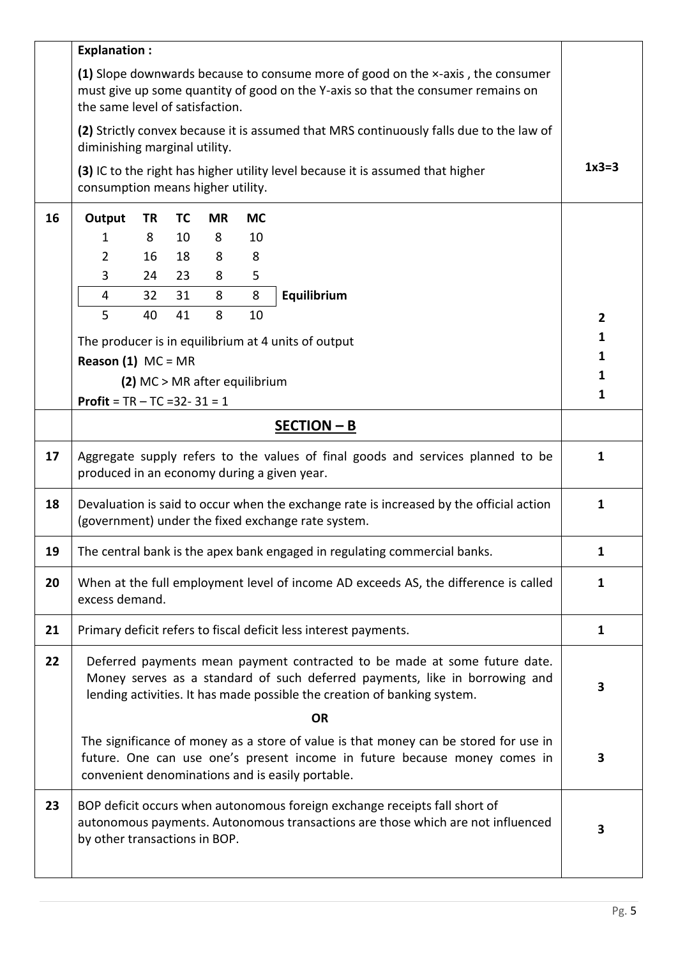|    | <b>Explanation:</b>                                                                                                                                                                                                                               |    |           |                               |              |                                                                                                                                               |              |
|----|---------------------------------------------------------------------------------------------------------------------------------------------------------------------------------------------------------------------------------------------------|----|-----------|-------------------------------|--------------|-----------------------------------------------------------------------------------------------------------------------------------------------|--------------|
|    | (1) Slope downwards because to consume more of good on the x-axis, the consumer<br>must give up some quantity of good on the Y-axis so that the consumer remains on<br>the same level of satisfaction.                                            |    |           |                               |              |                                                                                                                                               |              |
|    | (2) Strictly convex because it is assumed that MRS continuously falls due to the law of<br>diminishing marginal utility.                                                                                                                          |    |           |                               |              |                                                                                                                                               |              |
|    | (3) IC to the right has higher utility level because it is assumed that higher<br>consumption means higher utility.                                                                                                                               |    |           |                               |              |                                                                                                                                               | $1x3=3$      |
| 16 | Output                                                                                                                                                                                                                                            | TR | <b>TC</b> | <b>MR</b>                     | <b>MC</b>    |                                                                                                                                               |              |
|    | 1                                                                                                                                                                                                                                                 | 8  | 10        | 8                             | 10           |                                                                                                                                               |              |
|    | $\overline{2}$                                                                                                                                                                                                                                    | 16 | 18        | 8                             | 8            |                                                                                                                                               |              |
|    | 3                                                                                                                                                                                                                                                 | 24 | 23        | 8                             | 5            |                                                                                                                                               |              |
|    | 4                                                                                                                                                                                                                                                 | 32 | 31        | 8                             | 8            | Equilibrium                                                                                                                                   |              |
|    | 5                                                                                                                                                                                                                                                 | 40 | 41        | 8                             | 10           |                                                                                                                                               | $\mathbf{2}$ |
|    |                                                                                                                                                                                                                                                   |    |           |                               |              | The producer is in equilibrium at 4 units of output                                                                                           | 1            |
|    | <b>Reason (1)</b> MC = MR                                                                                                                                                                                                                         |    |           |                               |              |                                                                                                                                               | 1            |
|    |                                                                                                                                                                                                                                                   |    |           | (2) MC > MR after equilibrium |              |                                                                                                                                               | 1            |
|    | <b>Profit</b> = $TR - TC = 32 - 31 = 1$                                                                                                                                                                                                           |    |           |                               |              |                                                                                                                                               | 1            |
|    |                                                                                                                                                                                                                                                   |    |           |                               |              | $SECTION - B$                                                                                                                                 |              |
| 17 | Aggregate supply refers to the values of final goods and services planned to be<br>produced in an economy during a given year.                                                                                                                    |    |           |                               |              | 1                                                                                                                                             |              |
| 18 |                                                                                                                                                                                                                                                   |    |           |                               |              | Devaluation is said to occur when the exchange rate is increased by the official action<br>(government) under the fixed exchange rate system. | $\mathbf{1}$ |
| 19 |                                                                                                                                                                                                                                                   |    |           |                               |              | The central bank is the apex bank engaged in regulating commercial banks.                                                                     | 1            |
| 20 | When at the full employment level of income AD exceeds AS, the difference is called<br>excess demand.                                                                                                                                             |    |           |                               | $\mathbf{1}$ |                                                                                                                                               |              |
| 21 | Primary deficit refers to fiscal deficit less interest payments.                                                                                                                                                                                  |    |           |                               |              | 1                                                                                                                                             |              |
| 22 | Deferred payments mean payment contracted to be made at some future date.<br>Money serves as a standard of such deferred payments, like in borrowing and<br>lending activities. It has made possible the creation of banking system.<br><b>OR</b> |    |           |                               | 3            |                                                                                                                                               |              |
|    | The significance of money as a store of value is that money can be stored for use in<br>future. One can use one's present income in future because money comes in<br>convenient denominations and is easily portable.                             |    |           |                               |              |                                                                                                                                               | 3            |
| 23 | BOP deficit occurs when autonomous foreign exchange receipts fall short of<br>autonomous payments. Autonomous transactions are those which are not influenced<br>by other transactions in BOP.                                                    |    |           |                               |              |                                                                                                                                               | 3            |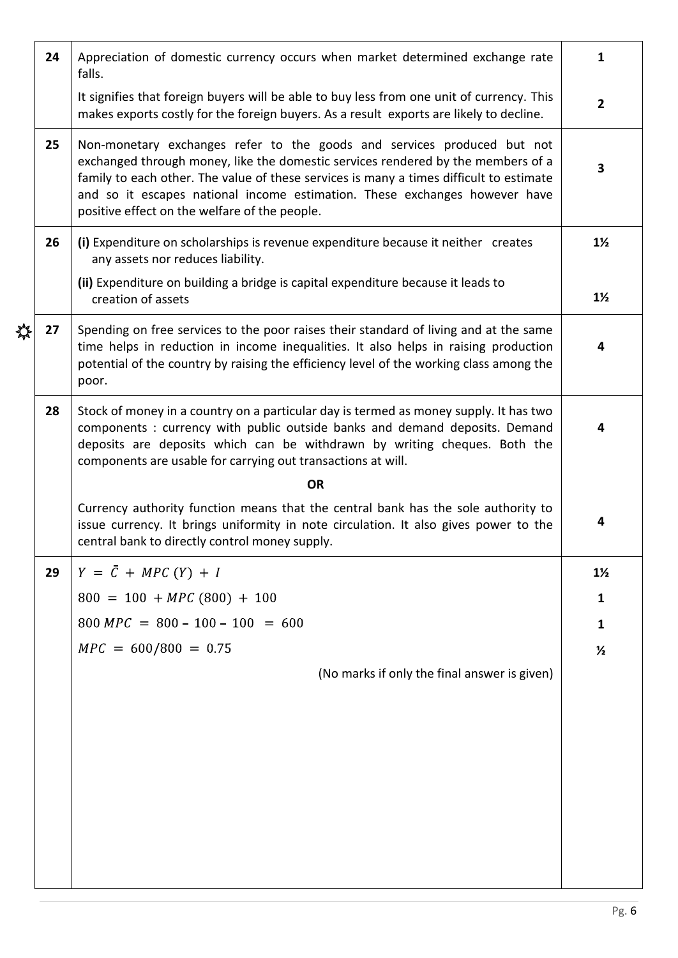|   | 24 | Appreciation of domestic currency occurs when market determined exchange rate<br>falls.                                                                                                                                                                                                                                                                                               |                |  |  |  |  |
|---|----|---------------------------------------------------------------------------------------------------------------------------------------------------------------------------------------------------------------------------------------------------------------------------------------------------------------------------------------------------------------------------------------|----------------|--|--|--|--|
|   |    | It signifies that foreign buyers will be able to buy less from one unit of currency. This<br>makes exports costly for the foreign buyers. As a result exports are likely to decline.                                                                                                                                                                                                  |                |  |  |  |  |
|   | 25 | Non-monetary exchanges refer to the goods and services produced but not<br>exchanged through money, like the domestic services rendered by the members of a<br>family to each other. The value of these services is many a times difficult to estimate<br>and so it escapes national income estimation. These exchanges however have<br>positive effect on the welfare of the people. |                |  |  |  |  |
|   | 26 | (i) Expenditure on scholarships is revenue expenditure because it neither creates<br>any assets nor reduces liability.                                                                                                                                                                                                                                                                |                |  |  |  |  |
|   |    | (ii) Expenditure on building a bridge is capital expenditure because it leads to<br>creation of assets                                                                                                                                                                                                                                                                                | $1\frac{1}{2}$ |  |  |  |  |
| ☆ | 27 | Spending on free services to the poor raises their standard of living and at the same<br>time helps in reduction in income inequalities. It also helps in raising production<br>potential of the country by raising the efficiency level of the working class among the<br>poor.                                                                                                      |                |  |  |  |  |
|   | 28 | Stock of money in a country on a particular day is termed as money supply. It has two<br>components : currency with public outside banks and demand deposits. Demand<br>deposits are deposits which can be withdrawn by writing cheques. Both the<br>components are usable for carrying out transactions at will.                                                                     |                |  |  |  |  |
|   |    | <b>OR</b>                                                                                                                                                                                                                                                                                                                                                                             |                |  |  |  |  |
|   |    | Currency authority function means that the central bank has the sole authority to<br>issue currency. It brings uniformity in note circulation. It also gives power to the<br>central bank to directly control money supply.                                                                                                                                                           |                |  |  |  |  |
|   | 29 | $Y = \overline{C} + MPC(Y) + I$                                                                                                                                                                                                                                                                                                                                                       |                |  |  |  |  |
|   |    | $800 = 100 + MPC (800) + 100$                                                                                                                                                                                                                                                                                                                                                         | 1              |  |  |  |  |
|   |    | $800 \, MPC = 800 - 100 - 100 = 600$                                                                                                                                                                                                                                                                                                                                                  | 1              |  |  |  |  |
|   |    | $MPC = 600/800 = 0.75$                                                                                                                                                                                                                                                                                                                                                                | $\frac{1}{2}$  |  |  |  |  |
|   |    | (No marks if only the final answer is given)                                                                                                                                                                                                                                                                                                                                          |                |  |  |  |  |
|   |    |                                                                                                                                                                                                                                                                                                                                                                                       |                |  |  |  |  |
|   |    |                                                                                                                                                                                                                                                                                                                                                                                       |                |  |  |  |  |
|   |    |                                                                                                                                                                                                                                                                                                                                                                                       |                |  |  |  |  |
|   |    |                                                                                                                                                                                                                                                                                                                                                                                       |                |  |  |  |  |
|   |    |                                                                                                                                                                                                                                                                                                                                                                                       |                |  |  |  |  |
|   |    |                                                                                                                                                                                                                                                                                                                                                                                       |                |  |  |  |  |
|   |    |                                                                                                                                                                                                                                                                                                                                                                                       |                |  |  |  |  |
|   |    |                                                                                                                                                                                                                                                                                                                                                                                       |                |  |  |  |  |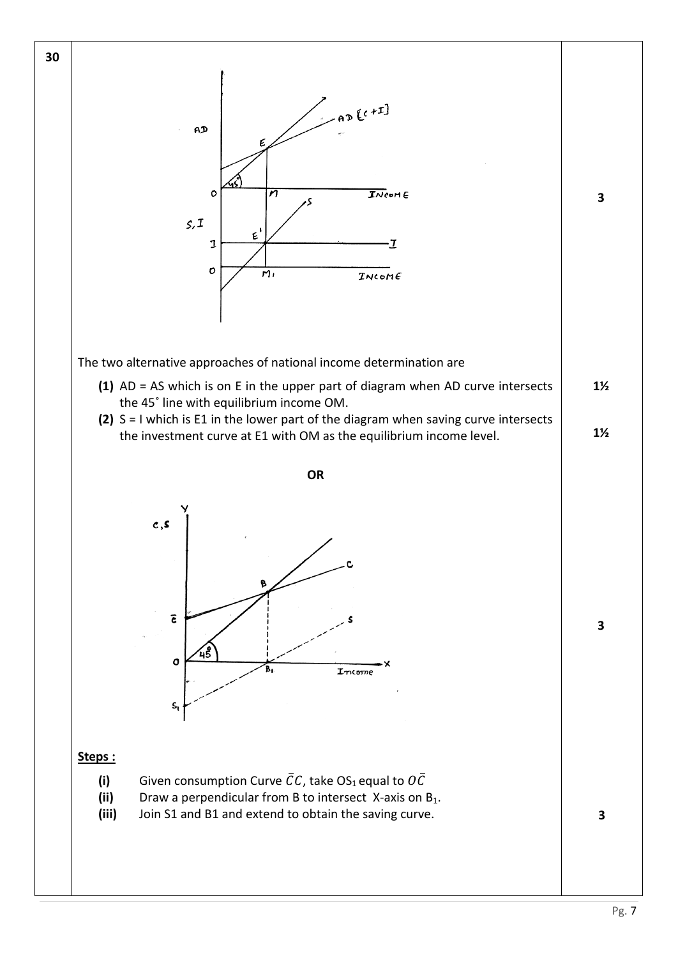